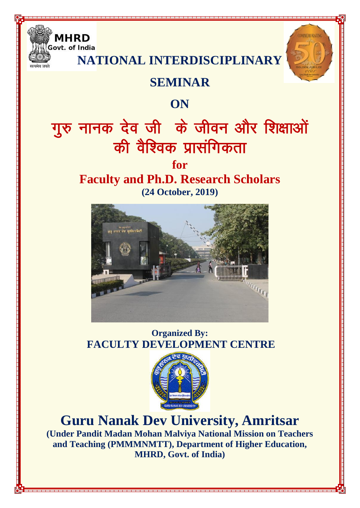

**NATIONAL INTERDISCIPLINARY** 

**MMEMORATIN** 

### **SEMINAR**

### **ON**

# गुरु नानक देव जी के जीवन और शिक्षाओं की वैश्विक प्रासंगिकता

### **for**

### **Faculty and Ph.D. Research Scholars (24 October, 2019)**



**Organized By: FACULTY DEVELOPMENT CENTRE** 



# **Guru Nanak Dev University, Amritsar**

**(Under Pandit Madan Mohan Malviya National Mission on Teachers and Teaching (PMMMNMTT), Department of Higher Education, MHRD, Govt. of India)**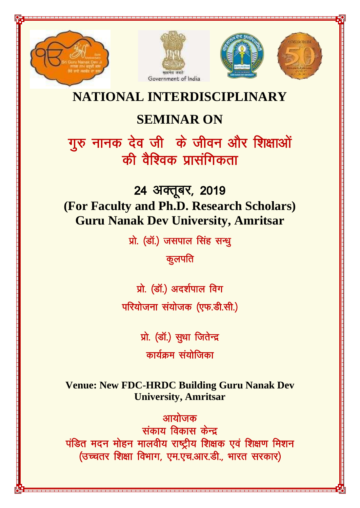







## **NATIONAL INTERDISCIPLINARY**

# **SEMINAR ON**

गुरु नानक देव जी के जीवन और शिक्षाओं की वैश्विक प्रासंगिकता

24 अक्तूबर, 2019 **(For Faculty and Ph.D. Research Scholars) Guru Nanak Dev University, Amritsar**

प्रो. (डॉ.) जसपाल सिंह सन्धू

कूलपति

प्रो. (डॉ.) अदर्शपाल विग परियोजना संयोजक (एफ.डी.सी.)

प्रो. (डॉ.) सुधा जितेन्द्र

कार्यक्रम संयोजिका

**Venue: New FDC-HRDC Building Guru Nanak Dev University, Amritsar**

आयोजक संकाय विकास केन्द्र पंडित मदन मोहन मालवीय राष्ट्रीय शिक्षक एवं शिक्षण मिशन (उच्चतर शिक्षा विभाग, एम.एच.आर.डी., भारत सरकार)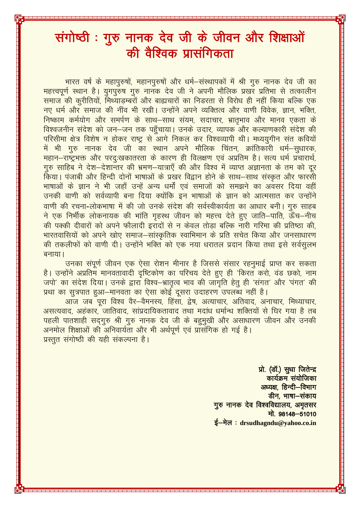# संगोष्ठी: गुरु नानक देव जी के जीवन और शिक्षाओं की वैश्विक प्रासंगिकता

भारत वर्ष के महापुरुषों, महानपुरुषों और धर्म–संस्थापकों में श्री गुरु नानक देव जी का महत्त्वपूर्ण स्थान है। युगपुरुष गुरु नानक देव जी ने अपनी मौलिक प्रखर प्रतिभा से तत्कालीन समाज की करीतियों, मिथ्याडम्बरों और बाह्यचारों का निडरता से विरोध ही नहीं किया बल्कि एक नए धर्म और समाज की नींव भी रखी। उन्होंने अपने व्यक्तित्व और वाणी विवेक, ज्ञान, भक्ति, निष्काम कर्मयोग और समर्पण के साथ–साथ संयम, सदाचार, भ्रातभाव और मानव एकता के विश्वजनीन संदेश को जन–जन तक पहुँचाया। उनके उदार, व्यापक और कल्याणकारी संदेश की परिसीमा क्षेत्र विशेष न होकर राष्ट्र से आगे निकल कर विश्वव्यापी थी। मध्ययुगीन संत कवियों में भी गुरु नानक देव जी का स्थान अपने मौलिक चिंतन, क्रांतिकारी धर्म–सुधारक, महान-राष्ट्रभक्त और परदुःखकातरता के कारण ही विलक्षण एवं अप्रतिम है। सत्य धर्म प्रचारार्थ, गुरु साहिब ने देश–देशान्तर की भ्रमण–यात्राएँ की और विश्व में व्याप्त अज्ञानता के तम को दूर किया। पंजाबी और हिन्दी दोनों भाषाओं के प्रखर विद्वान होने के साथ–साथ संस्कृत और फारसी भाषाओं के ज्ञान ने भी जहाँ उन्हें अन्य धर्मों एवं समाजों को समझने का अवसर दिया वहीं उनकी वाणी को सर्वव्यापी बना दिया क्योंकि इन भाषाओं के ज्ञान को आत्मसात कर उन्होंने वाणी की रचना-लोकभाषा में की जो उनके संदेश की सर्वस्वीकार्यता का आधार बनी। गुरु साहब ने एक निर्भीक लोकनायक की भांति गृहस्थ जीवन को महत्त्व देते हुए जाति–पाति, ऊँच–नीच की पक्की दीवारों को अपने फौलादी इरादों से न केवल तोड़ा बल्कि नारी गरिमा की प्रतिष्ठा की, भारतवासियों को अपने खोए समाज–सांस्कृतिक स्वाभिमान के प्रति सचेत किया और जनसाधारण की तकलीफों को वाणी दी। उन्होंने भक्ति को एक नया धरातल प्रदान किया तथा इसे सर्वसुलभ बनाया।

उनका संपूर्ण जीवन एक ऐसा रोशन मीनार है जिससे संसार रहनूमाई प्राप्त कर सकता है। उन्होंने अप्रतिम मानवतावादी दृष्टिकोण का परिचय देते हुए ही 'किरत करो, वंड छको, नाम जपो' का संदेश दिया। उनके द्वारा विश्व–भ्रातृत्व भाव की जागृति हेतु ही 'संगत' और 'पंगत' की प्रथा का सुत्रपात हुआ–मानवता का ऐसा कोई दूसरा उदाहरण उपलब्ध नहीं है।

आज जब पुरा विश्व वैर–वैमनस्य, हिंसा, द्वेष, अत्याचार, अतिवाद, अनाचार, मिथ्याचार, असत्यवाद, अहंकार, जातिवाद, सांप्रदायिकतावाद तथा मदांध धर्मान्ध शक्तियों से घिर गया है तब पहली पातशाही सदगुरु श्री गुरु नानक देव जी के बहुमुखी और असाधारण जीवन और उनकी अनमोल शिक्षाओं की अनिवार्यता और भी अर्थपूर्ण एवं प्रासंगिक हो गई है। प्रस्तुत संगोष्ठी की यही संकल्पना है।

> प्रो. (डॉ.) सुधा जितेन्द्र कार्यक्रम संयोजिका अध्यक्ष हिन्दी-विभाग डीन, भाषा-संकाय गुरु नानक देव विश्वविद्यालय, अमृतसर मो. 98148-51010 ई-मेल: drsudhagndu@yahoo.co.in